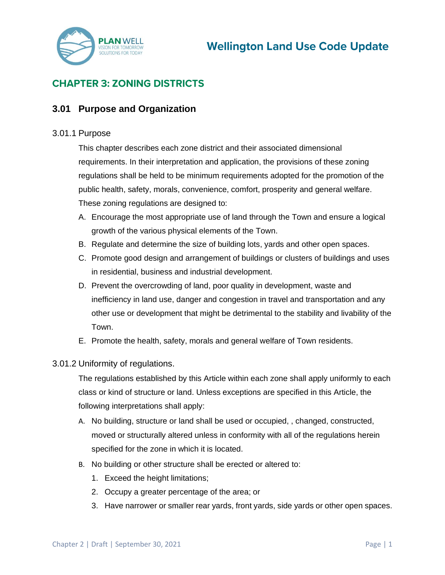

# **CHAPTER 3: ZONING DISTRICTS**

## **3.01 Purpose and Organization**

#### 3.01.1 Purpose

This chapter describes each zone district and their associated dimensional requirements. In their interpretation and application, the provisions of these zoning regulations shall be held to be minimum requirements adopted for the promotion of the public health, safety, morals, convenience, comfort, prosperity and general welfare. These zoning regulations are designed to:

- A. Encourage the most appropriate use of land through the Town and ensure a logical growth of the various physical elements of the Town.
- B. Regulate and determine the size of building lots, yards and other open spaces.
- C. Promote good design and arrangement of buildings or clusters of buildings and uses in residential, business and industrial development.
- D. Prevent the overcrowding of land, poor quality in development, waste and inefficiency in land use, danger and congestion in travel and transportation and any other use or development that might be detrimental to the stability and livability of the Town.
- E. Promote the health, safety, morals and general welfare of Town residents.

#### 3.01.2 Uniformity of regulations.

The regulations established by this Article within each zone shall apply uniformly to each class or kind of structure or land. Unless exceptions are specified in this Article, the following interpretations shall apply:

- A. No building, structure or land shall be used or occupied, , changed, constructed, moved or structurally altered unless in conformity with all of the regulations herein specified for the zone in which it is located.
- B. No building or other structure shall be erected or altered to:
	- 1. Exceed the height limitations;
	- 2. Occupy a greater percentage of the area; or
	- 3. Have narrower or smaller rear yards, front yards, side yards or other open spaces.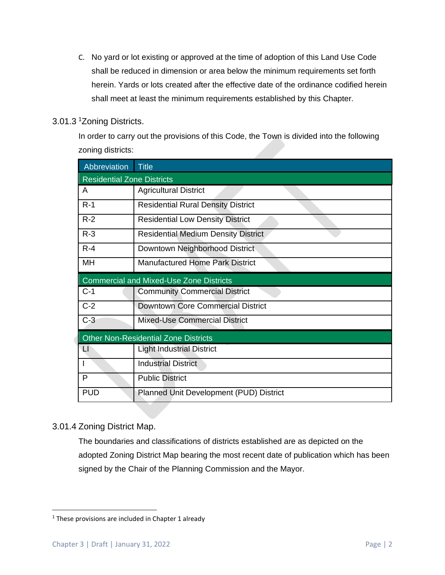C. No yard or lot existing or approved at the time of adoption of this Land Use Code shall be reduced in dimension or area below the minimum requirements set forth herein. Yards or lots created after the effective date of the ordinance codified herein shall meet at least the minimum requirements established by this Chapter.

#### 3.01.3 <sup>1</sup>Zoning Districts.

In order to carry out the provisions of this Code, the Town is divided into the following zoning districts:

| Abbreviation                                | <b>Title</b>                                   |  |  |  |
|---------------------------------------------|------------------------------------------------|--|--|--|
| <b>Residential Zone Districts</b>           |                                                |  |  |  |
| A                                           | <b>Agricultural District</b>                   |  |  |  |
| $R-1$                                       | <b>Residential Rural Density District</b>      |  |  |  |
| $R-2$                                       | <b>Residential Low Density District</b>        |  |  |  |
| $R-3$                                       | <b>Residential Medium Density District</b>     |  |  |  |
| $R - 4$                                     | Downtown Neighborhood District                 |  |  |  |
| MН                                          | <b>Manufactured Home Park District</b>         |  |  |  |
|                                             | <b>Commercial and Mixed-Use Zone Districts</b> |  |  |  |
| $C-1$                                       | <b>Community Commercial District</b>           |  |  |  |
| $C-2$                                       | <b>Downtown Core Commercial District</b>       |  |  |  |
| $C-3$                                       | <b>Mixed-Use Commercial District</b>           |  |  |  |
| <b>Other Non-Residential Zone Districts</b> |                                                |  |  |  |
| ΨL                                          | <b>Light Industrial District</b>               |  |  |  |
|                                             | <b>Industrial District</b>                     |  |  |  |
| P                                           | <b>Public District</b>                         |  |  |  |
| <b>PUD</b>                                  | <b>Planned Unit Development (PUD) District</b> |  |  |  |

## 3.01.4 Zoning District Map.

The boundaries and classifications of districts established are as depicted on the adopted Zoning District Map bearing the most recent date of publication which has been signed by the Chair of the Planning Commission and the Mayor.

 $1$  These provisions are included in Chapter 1 already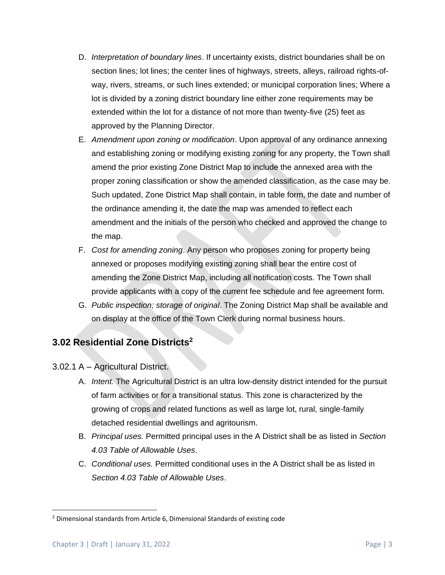- D. *Interpretation of boundary lines*. If uncertainty exists, district boundaries shall be on section lines; lot lines; the center lines of highways, streets, alleys, railroad rights-ofway, rivers, streams, or such lines extended; or municipal corporation lines; Where a lot is divided by a zoning district boundary line either zone requirements may be extended within the lot for a distance of not more than twenty-five (25) feet as approved by the Planning Director.
- E. *Amendment upon zoning or modification*. Upon approval of any ordinance annexing and establishing zoning or modifying existing zoning for any property, the Town shall amend the prior existing Zone District Map to include the annexed area with the proper zoning classification or show the amended classification, as the case may be. Such updated, Zone District Map shall contain, in table form, the date and number of the ordinance amending it, the date the map was amended to reflect each amendment and the initials of the person who checked and approved the change to the map.
- F. *Cost for amending zoning*. Any person who proposes zoning for property being annexed or proposes modifying existing zoning shall bear the entire cost of amending the Zone District Map, including all notification costs. The Town shall provide applicants with a copy of the current fee schedule and fee agreement form.
- G. *Public inspection; storage of original*. The Zoning District Map shall be available and on display at the office of the Town Clerk during normal business hours.

# **3.02 Residential Zone Districts<sup>2</sup>**

3.02.1 A – Agricultural District.

- A. *Intent.* The Agricultural District is an ultra low-density district intended for the pursuit of farm activities or for a transitional status. This zone is characterized by the growing of crops and related functions as well as large lot, rural, single-family detached residential dwellings and agritourism.
- B. *Principal uses.* Permitted principal uses in the A District shall be as listed in *Section 4.03 Table of Allowable Uses*.
- C. *Conditional uses.* Permitted conditional uses in the A District shall be as listed in *Section 4.03 Table of Allowable Uses*.

<sup>2</sup> Dimensional standards from Article 6, Dimensional Standards of existing code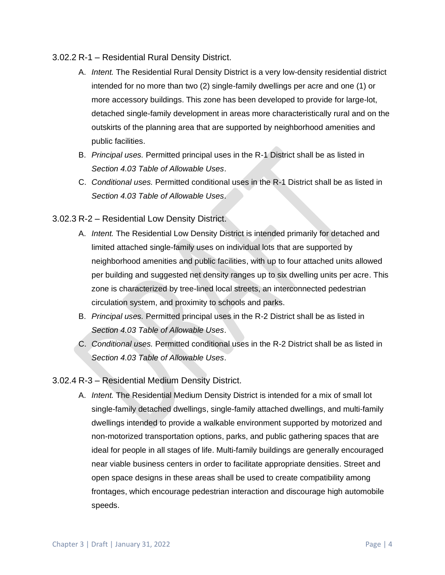#### 3.02.2 R-1 – Residential Rural Density District.

- A. *Intent.* The Residential Rural Density District is a very low-density residential district intended for no more than two (2) single-family dwellings per acre and one (1) or more accessory buildings. This zone has been developed to provide for large-lot, detached single-family development in areas more characteristically rural and on the outskirts of the planning area that are supported by neighborhood amenities and public facilities.
- B. *Principal uses.* Permitted principal uses in the R-1 District shall be as listed in *Section 4.03 Table of Allowable Uses*.
- C. *Conditional uses.* Permitted conditional uses in the R-1 District shall be as listed in *Section 4.03 Table of Allowable Uses*.

### 3.02.3 R-2 – Residential Low Density District.

- A. *Intent.* The Residential Low Density District is intended primarily for detached and limited attached single-family uses on individual lots that are supported by neighborhood amenities and public facilities, with up to four attached units allowed per building and suggested net density ranges up to six dwelling units per acre. This zone is characterized by tree-lined local streets, an interconnected pedestrian circulation system, and proximity to schools and parks.
- B. *Principal uses.* Permitted principal uses in the R-2 District shall be as listed in *Section 4.03 Table of Allowable Uses*.
- C. *Conditional uses.* Permitted conditional uses in the R-2 District shall be as listed in *Section 4.03 Table of Allowable Uses*.

### 3.02.4 R-3 – Residential Medium Density District.

A. *Intent.* The Residential Medium Density District is intended for a mix of small lot single-family detached dwellings, single-family attached dwellings, and multi-family dwellings intended to provide a walkable environment supported by motorized and non-motorized transportation options, parks, and public gathering spaces that are ideal for people in all stages of life. Multi-family buildings are generally encouraged near viable business centers in order to facilitate appropriate densities. Street and open space designs in these areas shall be used to create compatibility among frontages, which encourage pedestrian interaction and discourage high automobile speeds.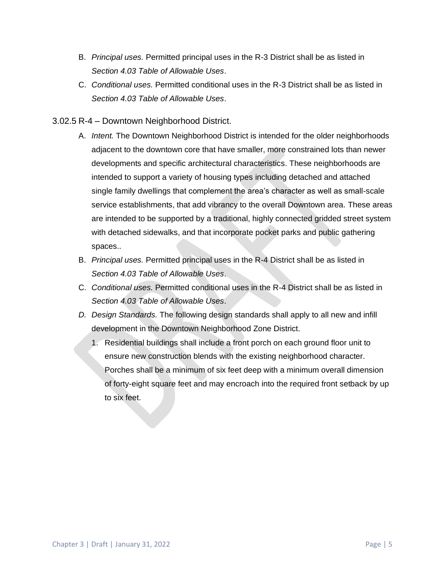- B. *Principal uses.* Permitted principal uses in the R-3 District shall be as listed in *Section 4.03 Table of Allowable Uses*.
- C. *Conditional uses.* Permitted conditional uses in the R-3 District shall be as listed in *Section 4.03 Table of Allowable Uses*.
- 3.02.5 R-4 Downtown Neighborhood District.
	- A. *Intent.* The Downtown Neighborhood District is intended for the older neighborhoods adjacent to the downtown core that have smaller, more constrained lots than newer developments and specific architectural characteristics. These neighborhoods are intended to support a variety of housing types including detached and attached single family dwellings that complement the area's character as well as small-scale service establishments, that add vibrancy to the overall Downtown area. These areas are intended to be supported by a traditional, highly connected gridded street system with detached sidewalks, and that incorporate pocket parks and public gathering spaces..
	- B. *Principal uses.* Permitted principal uses in the R-4 District shall be as listed in *Section 4.03 Table of Allowable Uses*.
	- C. *Conditional uses.* Permitted conditional uses in the R-4 District shall be as listed in *Section 4.03 Table of Allowable Uses*.
	- *D. Design Standards.* The following design standards shall apply to all new and infill development in the Downtown Neighborhood Zone District.
		- 1. Residential buildings shall include a front porch on each ground floor unit to ensure new construction blends with the existing neighborhood character. Porches shall be a minimum of six feet deep with a minimum overall dimension of forty-eight square feet and may encroach into the required front setback by up to six feet.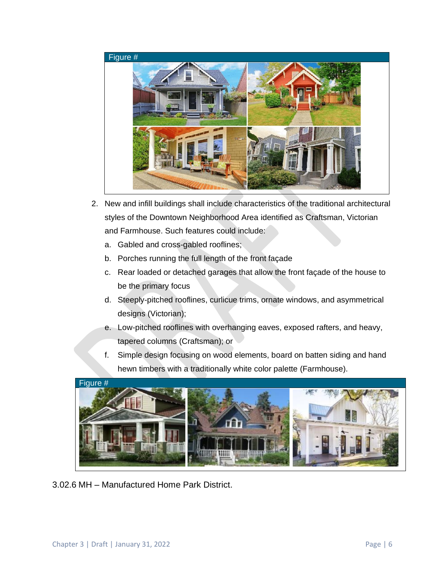

- 2. New and infill buildings shall include characteristics of the traditional architectural styles of the Downtown Neighborhood Area identified as Craftsman, Victorian and Farmhouse. Such features could include:
	- a. Gabled and cross-gabled rooflines;
	- b. Porches running the full length of the front façade
	- c. Rear loaded or detached garages that allow the front façade of the house to be the primary focus
	- d. Steeply-pitched rooflines, curlicue trims, ornate windows, and asymmetrical designs (Victorian);
	- e. Low-pitched rooflines with overhanging eaves, exposed rafters, and heavy, tapered columns (Craftsman); or
	- f. Simple design focusing on wood elements, board on batten siding and hand hewn timbers with a traditionally white color palette (Farmhouse).



3.02.6 MH – Manufactured Home Park District.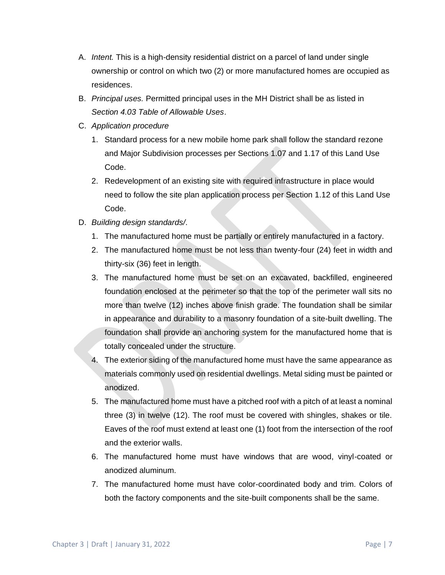- A. *Intent.* This is a high-density residential district on a parcel of land under single ownership or control on which two (2) or more manufactured homes are occupied as residences.
- B. *Principal uses.* Permitted principal uses in the MH District shall be as listed in *Section 4.03 Table of Allowable Uses*.
- C. *Application procedure*
	- 1. Standard process for a new mobile home park shall follow the standard rezone and Major Subdivision processes per Sections 1.07 and 1.17 of this Land Use Code.
	- 2. Redevelopment of an existing site with required infrastructure in place would need to follow the site plan application process per Section 1.12 of this Land Use Code.
- D. *Building design standards/*.
	- 1. The manufactured home must be partially or entirely manufactured in a factory.
	- 2. The manufactured home must be not less than twenty-four (24) feet in width and thirty-six (36) feet in length.
	- 3. The manufactured home must be set on an excavated, backfilled, engineered foundation enclosed at the perimeter so that the top of the perimeter wall sits no more than twelve (12) inches above finish grade. The foundation shall be similar in appearance and durability to a masonry foundation of a site-built dwelling. The foundation shall provide an anchoring system for the manufactured home that is totally concealed under the structure.
	- 4. The exterior siding of the manufactured home must have the same appearance as materials commonly used on residential dwellings. Metal siding must be painted or anodized.
	- 5. The manufactured home must have a pitched roof with a pitch of at least a nominal three (3) in twelve (12). The roof must be covered with shingles, shakes or tile. Eaves of the roof must extend at least one (1) foot from the intersection of the roof and the exterior walls.
	- 6. The manufactured home must have windows that are wood, vinyl-coated or anodized aluminum.
	- 7. The manufactured home must have color-coordinated body and trim. Colors of both the factory components and the site-built components shall be the same.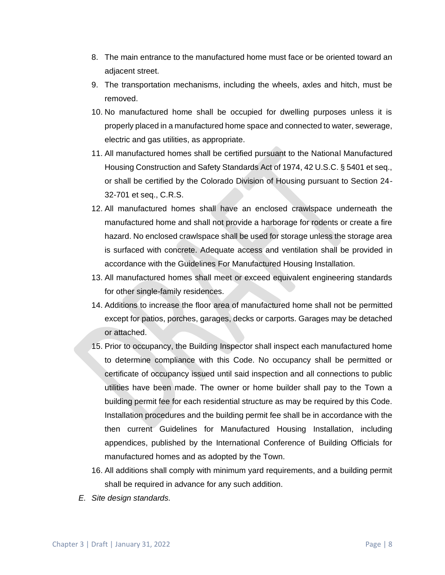- 8. The main entrance to the manufactured home must face or be oriented toward an adjacent street.
- 9. The transportation mechanisms, including the wheels, axles and hitch, must be removed.
- 10. No manufactured home shall be occupied for dwelling purposes unless it is properly placed in a manufactured home space and connected to water, sewerage, electric and gas utilities, as appropriate.
- 11. All manufactured homes shall be certified pursuant to the National Manufactured Housing Construction and Safety Standards Act of 1974, 42 U.S.C. § 5401 et seq., or shall be certified by the Colorado Division of Housing pursuant to Section 24- 32-701 et seq., C.R.S.
- 12. All manufactured homes shall have an enclosed crawlspace underneath the manufactured home and shall not provide a harborage for rodents or create a fire hazard. No enclosed crawlspace shall be used for storage unless the storage area is surfaced with concrete. Adequate access and ventilation shall be provided in accordance with the Guidelines For Manufactured Housing Installation.
- 13. All manufactured homes shall meet or exceed equivalent engineering standards for other single-family residences.
- 14. Additions to increase the floor area of manufactured home shall not be permitted except for patios, porches, garages, decks or carports. Garages may be detached or attached.
- 15. Prior to occupancy, the Building Inspector shall inspect each manufactured home to determine compliance with this Code. No occupancy shall be permitted or certificate of occupancy issued until said inspection and all connections to public utilities have been made. The owner or home builder shall pay to the Town a building permit fee for each residential structure as may be required by this Code. Installation procedures and the building permit fee shall be in accordance with the then current Guidelines for Manufactured Housing Installation, including appendices, published by the International Conference of Building Officials for manufactured homes and as adopted by the Town.
- 16. All additions shall comply with minimum yard requirements, and a building permit shall be required in advance for any such addition.
- *E. Site design standards.*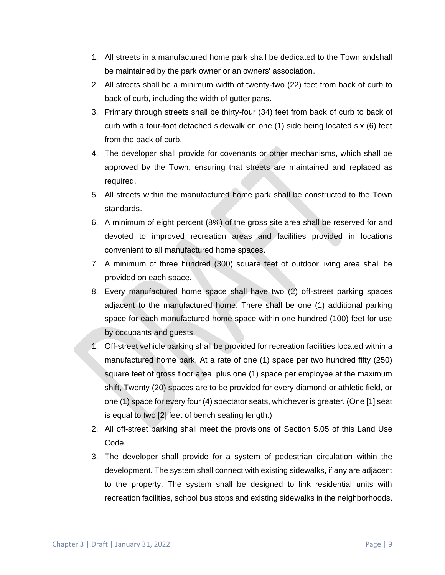- 1. All streets in a manufactured home park shall be dedicated to the Town andshall be maintained by the park owner or an owners' association.
- 2. All streets shall be a minimum width of twenty-two (22) feet from back of curb to back of curb, including the width of gutter pans.
- 3. Primary through streets shall be thirty-four (34) feet from back of curb to back of curb with a four-foot detached sidewalk on one (1) side being located six (6) feet from the back of curb.
- 4. The developer shall provide for covenants or other mechanisms, which shall be approved by the Town, ensuring that streets are maintained and replaced as required.
- 5. All streets within the manufactured home park shall be constructed to the Town standards.
- 6. A minimum of eight percent (8%) of the gross site area shall be reserved for and devoted to improved recreation areas and facilities provided in locations convenient to all manufactured home spaces.
- 7. A minimum of three hundred (300) square feet of outdoor living area shall be provided on each space.
- 8. Every manufactured home space shall have two (2) off-street parking spaces adjacent to the manufactured home. There shall be one (1) additional parking space for each manufactured home space within one hundred (100) feet for use by occupants and guests.
- 1. Off-street vehicle parking shall be provided for recreation facilities located within a manufactured home park. At a rate of one (1) space per two hundred fifty (250) square feet of gross floor area, plus one (1) space per employee at the maximum shift, Twenty (20) spaces are to be provided for every diamond or athletic field, or one (1) space for every four (4) spectator seats, whichever is greater. (One [1] seat is equal to two [2] feet of bench seating length.)
- 2. All off-street parking shall meet the provisions of Section 5.05 of this Land Use Code.
- 3. The developer shall provide for a system of pedestrian circulation within the development. The system shall connect with existing sidewalks, if any are adjacent to the property. The system shall be designed to link residential units with recreation facilities, school bus stops and existing sidewalks in the neighborhoods.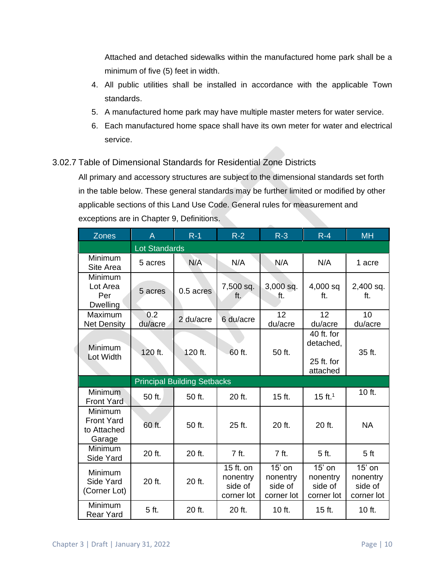Attached and detached sidewalks within the manufactured home park shall be a minimum of five (5) feet in width.

- 4. All public utilities shall be installed in accordance with the applicable Town standards.
- 5. A manufactured home park may have multiple master meters for water service.
- 6. Each manufactured home space shall have its own meter for water and electrical service.

## 3.02.7 Table of Dimensional Standards for Residential Zone Districts

All primary and accessory structures are subject to the dimensional standards set forth in the table below. These general standards may be further limited or modified by other applicable sections of this Land Use Code. General rules for measurement and exceptions are in Chapter 9, Definitions.

 $\sim$ 

| <b>Zones</b>                                          | $\overline{A}$       | $R-1$                              | $R-2$                                          | $R-3$                                         | $R - 4$                                           | <b>MH</b>                                     |
|-------------------------------------------------------|----------------------|------------------------------------|------------------------------------------------|-----------------------------------------------|---------------------------------------------------|-----------------------------------------------|
|                                                       | <b>Lot Standards</b> |                                    |                                                |                                               |                                                   |                                               |
| Minimum<br>Site Area                                  | 5 acres              | N/A                                | N/A                                            | N/A                                           | N/A                                               | 1 acre                                        |
| Minimum<br>Lot Area<br>Per<br><b>Dwelling</b>         | 5 acres              | 0.5 acres                          | 7,500 sq.<br>ft.                               | 3,000 sq.<br>.ft.                             | 4,000 sq<br>ft.                                   | 2,400 sq.<br>ft.                              |
| Maximum<br><b>Net Density</b>                         | 0.2<br>du/acre       | 2 du/acre                          | 6 du/acre                                      | 12<br>du/acre                                 | 12<br>du/acre                                     | 10<br>du/acre                                 |
| Minimum<br>Lot Width                                  | 120 ft.              | 120 ft.                            | 60 ft.                                         | 50 ft.                                        | 40 ft. for<br>detached,<br>25 ft. for<br>attached | 35 ft.                                        |
|                                                       |                      | <b>Principal Building Setbacks</b> |                                                |                                               |                                                   |                                               |
| Minimum<br><b>Front Yard</b>                          | 50 ft.               | 50 ft.                             | 20 ft.                                         | 15 ft.                                        | 15 ft. <sup>1</sup>                               | 10 ft.                                        |
| Minimum<br><b>Front Yard</b><br>to Attached<br>Garage | 60 ft.               | 50 ft.                             | 25 ft.                                         | 20 ft.                                        | 20 ft.                                            | <b>NA</b>                                     |
| Minimum<br>Side Yard                                  | 20 ft.               | 20 ft.                             | 7 ft.                                          | 7 ft.                                         | 5 ft.                                             | 5 <sub>ft</sub>                               |
| Minimum<br>Side Yard<br>(Corner Lot)                  | 20 ft.               | 20 ft.                             | 15 ft. on<br>nonentry<br>side of<br>corner lot | $15'$ on<br>nonentry<br>side of<br>corner lot | 15' on<br>nonentry<br>side of<br>corner lot       | $15'$ on<br>nonentry<br>side of<br>corner lot |
| Minimum<br><b>Rear Yard</b>                           | 5 ft.                | 20 ft.                             | 20 ft.                                         | 10 ft.                                        | 15 ft.                                            | 10 ft.                                        |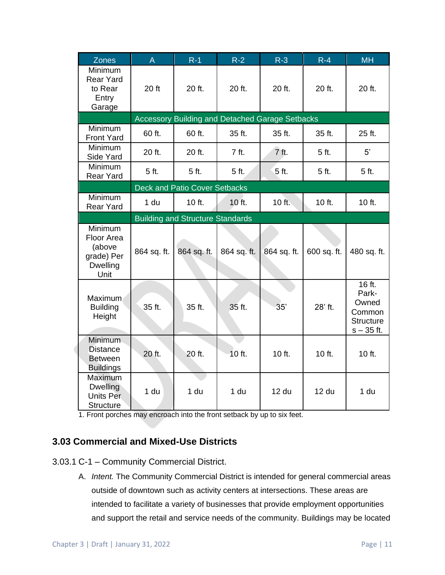| <b>Zones</b>                                                             | $\overline{A}$  | $R-1$                                   | $R-2$           | $R-3$                                                  | $R - 4$      | <b>MH</b>                                                              |
|--------------------------------------------------------------------------|-----------------|-----------------------------------------|-----------------|--------------------------------------------------------|--------------|------------------------------------------------------------------------|
| Minimum<br><b>Rear Yard</b><br>to Rear<br>Entry<br>Garage                | 20 ft           | 20 ft.                                  | 20 ft.          | 20 ft.                                                 | 20 ft.       | 20 ft.                                                                 |
|                                                                          |                 |                                         |                 | <b>Accessory Building and Detached Garage Setbacks</b> |              |                                                                        |
| Minimum<br><b>Front Yard</b>                                             | 60 ft.          | 60 ft.                                  | 35 ft.          | 35 ft.                                                 | 35 ft.       | 25 ft.                                                                 |
| Minimum<br>Side Yard                                                     | 20 ft.          | 20 ft.                                  | 7 ft.           | 7 ft.                                                  | 5 ft.        | 5'                                                                     |
| Minimum<br><b>Rear Yard</b>                                              | 5 ft.           | 5 ft.                                   | 5 ft.           | 5 ft.                                                  | 5 ft.        | 5 ft.                                                                  |
|                                                                          |                 | <b>Deck and Patio Cover Setbacks</b>    |                 |                                                        |              |                                                                        |
| Minimum<br><b>Rear Yard</b>                                              | 1 du            | 10 ft.                                  | 10 ft.          | 10 ft.                                                 | 10 ft.       | 10 ft.                                                                 |
|                                                                          |                 | <b>Building and Structure Standards</b> |                 |                                                        |              |                                                                        |
| Minimum<br>Floor Area<br>(above<br>grade) Per<br><b>Dwelling</b><br>Unit | 864 sq. ft.     | 864 sq. ft.                             | 864 sq. ft.     | 864 sq. ft.                                            | 600 sq. ft.  | 480 sq. ft.                                                            |
| Maximum<br><b>Building</b><br>Height                                     | 35 ft.          | 35 ft.                                  | 35 ft.          | 35'                                                    | 28' ft.      | 16 ft.<br>Park-<br>Owned<br>Common<br><b>Structure</b><br>$s - 35$ ft. |
| Minimum<br><b>Distance</b><br><b>Between</b><br><b>Buildings</b>         | 20 ft.          | 20 ft.                                  | 10 ft.          | 10 ft.                                                 | 10 ft.       | 10 ft.                                                                 |
| Maximum<br><b>Dwelling</b><br><b>Units Per</b><br><b>Structure</b>       | 1 <sub>du</sub> | 1 du                                    | 1 <sub>du</sub> | 12 <sub>du</sub>                                       | <b>12 du</b> | 1 <sub>du</sub>                                                        |

1. Front porches may encroach into the front setback by up to six feet.

## **3.03 Commercial and Mixed-Use Districts**

- 3.03.1 C-1 Community Commercial District.
	- A. *Intent.* The Community Commercial District is intended for general commercial areas outside of downtown such as activity centers at intersections. These areas are intended to facilitate a variety of businesses that provide employment opportunities and support the retail and service needs of the community. Buildings may be located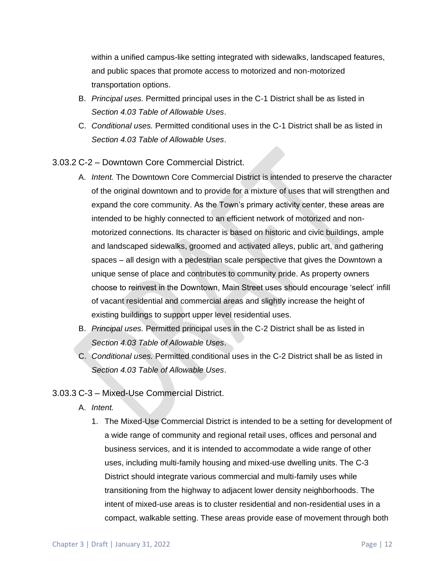within a unified campus-like setting integrated with sidewalks, landscaped features, and public spaces that promote access to motorized and non-motorized transportation options.

- B. *Principal uses.* Permitted principal uses in the C-1 District shall be as listed in *Section 4.03 Table of Allowable Uses*.
- C. *Conditional uses.* Permitted conditional uses in the C-1 District shall be as listed in *Section 4.03 Table of Allowable Uses*.

3.03.2 C-2 – Downtown Core Commercial District.

- A. *Intent.* The Downtown Core Commercial District is intended to preserve the character of the original downtown and to provide for a mixture of uses that will strengthen and expand the core community. As the Town's primary activity center, these areas are intended to be highly connected to an efficient network of motorized and nonmotorized connections. Its character is based on historic and civic buildings, ample and landscaped sidewalks, groomed and activated alleys, public art, and gathering spaces – all design with a pedestrian scale perspective that gives the Downtown a unique sense of place and contributes to community pride. As property owners choose to reinvest in the Downtown, Main Street uses should encourage 'select' infill of vacant residential and commercial areas and slightly increase the height of existing buildings to support upper level residential uses.
- B. *Principal uses.* Permitted principal uses in the C-2 District shall be as listed in *Section 4.03 Table of Allowable Uses*.
- C. *Conditional uses.* Permitted conditional uses in the C-2 District shall be as listed in *Section 4.03 Table of Allowable Uses*.
- 3.03.3 C-3 Mixed-Use Commercial District.
	- A. *Intent.*
		- 1. The Mixed-Use Commercial District is intended to be a setting for development of a wide range of community and regional retail uses, offices and personal and business services, and it is intended to accommodate a wide range of other uses, including multi-family housing and mixed-use dwelling units. The C-3 District should integrate various commercial and multi-family uses while transitioning from the highway to adjacent lower density neighborhoods. The intent of mixed-use areas is to cluster residential and non-residential uses in a compact, walkable setting. These areas provide ease of movement through both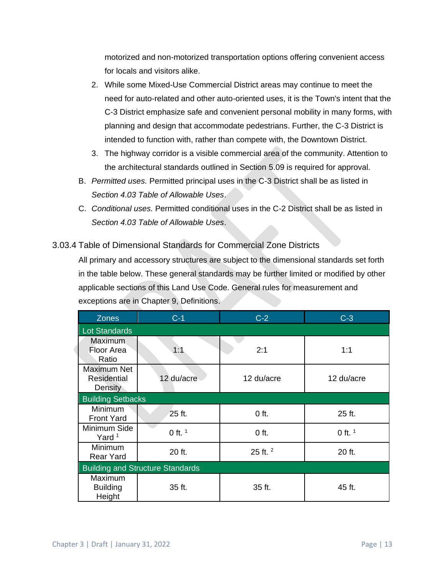motorized and non-motorized transportation options offering convenient access for locals and visitors alike.

- 2. While some Mixed-Use Commercial District areas may continue to meet the need for auto-related and other auto-oriented uses, it is the Town's intent that the C-3 District emphasize safe and convenient personal mobility in many forms, with planning and design that accommodate pedestrians. Further, the C-3 District is intended to function with, rather than compete with, the Downtown District.
- 3. The highway corridor is a visible commercial area of the community. Attention to the architectural standards outlined in Section 5.09 is required for approval.
- B. *Permitted uses.* Permitted principal uses in the C-3 District shall be as listed in *Section 4.03 Table of Allowable Uses*.
- C. *Conditional uses.* Permitted conditional uses in the C-2 District shall be as listed in *Section 4.03 Table of Allowable Uses*.

## 3.03.4 Table of Dimensional Standards for Commercial Zone Districts

All primary and accessory structures are subject to the dimensional standards set forth in the table below. These general standards may be further limited or modified by other applicable sections of this Land Use Code. General rules for measurement and exceptions are in Chapter 9, Definitions.

| <b>Zones</b>                                 | $C-1$      | $C-2$      | $C-3$      |  |  |  |
|----------------------------------------------|------------|------------|------------|--|--|--|
| <b>Lot Standards</b>                         |            |            |            |  |  |  |
| Maximum<br>Floor Area<br>Ratio               | 1:1        | 2:1        | 1:1        |  |  |  |
| Maximum Net<br><b>Residential</b><br>Density | 12 du/acre | 12 du/acre | 12 du/acre |  |  |  |
| <b>Building Setbacks</b>                     |            |            |            |  |  |  |
| <b>Minimum</b><br><b>Front Yard</b>          | 25 ft.     | $0$ ft.    | 25 ft.     |  |  |  |
| Minimum Side<br>Yard <sup>1</sup>            | 0 ft. $1$  | $0$ ft.    | 0 ft. $1$  |  |  |  |
| Minimum<br><b>Rear Yard</b>                  | 20 ft.     | 25 ft. $2$ | 20 ft.     |  |  |  |
| <b>Building and Structure Standards</b>      |            |            |            |  |  |  |
| Maximum<br><b>Building</b><br>Height         | 35 ft.     | 35 ft.     | 45 ft.     |  |  |  |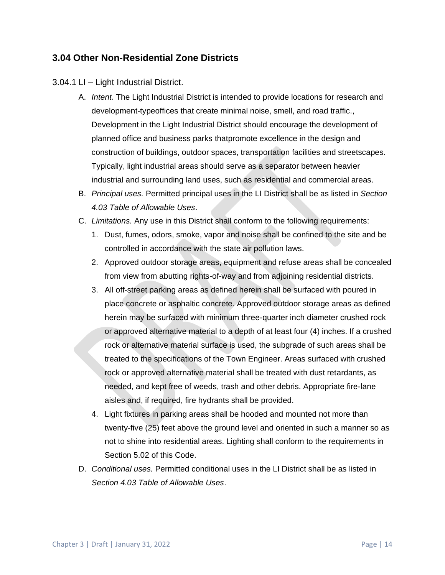## **3.04 Other Non-Residential Zone Districts**

#### 3.04.1 LI – Light Industrial District.

- A. *Intent.* The Light Industrial District is intended to provide locations for research and development-typeoffices that create minimal noise, smell, and road traffic., Development in the Light Industrial District should encourage the development of planned office and business parks thatpromote excellence in the design and construction of buildings, outdoor spaces, transportation facilities and streetscapes. Typically, light industrial areas should serve as a separator between heavier industrial and surrounding land uses, such as residential and commercial areas.
- B. *Principal uses.* Permitted principal uses in the LI District shall be as listed in *Section 4.03 Table of Allowable Uses*.
- C. *Limitations.* Any use in this District shall conform to the following requirements:
	- 1. Dust, fumes, odors, smoke, vapor and noise shall be confined to the site and be controlled in accordance with the state air pollution laws.
	- 2. Approved outdoor storage areas, equipment and refuse areas shall be concealed from view from abutting rights-of-way and from adjoining residential districts.
	- 3. All off-street parking areas as defined herein shall be surfaced with poured in place concrete or asphaltic concrete. Approved outdoor storage areas as defined herein may be surfaced with minimum three-quarter inch diameter crushed rock or approved alternative material to a depth of at least four (4) inches. If a crushed rock or alternative material surface is used, the subgrade of such areas shall be treated to the specifications of the Town Engineer. Areas surfaced with crushed rock or approved alternative material shall be treated with dust retardants, as needed, and kept free of weeds, trash and other debris. Appropriate fire-lane aisles and, if required, fire hydrants shall be provided.
	- 4. Light fixtures in parking areas shall be hooded and mounted not more than twenty-five (25) feet above the ground level and oriented in such a manner so as not to shine into residential areas. Lighting shall conform to the requirements in Section 5.02 of this Code.
- D. *Conditional uses.* Permitted conditional uses in the LI District shall be as listed in *Section 4.03 Table of Allowable Uses*.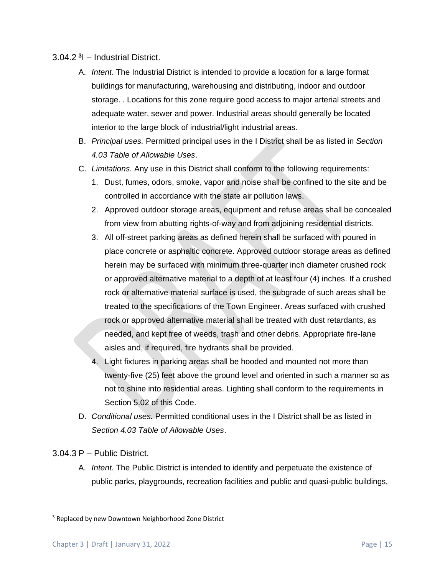#### 3.04.2 **<sup>3</sup>** I – Industrial District.

- A. *Intent.* The Industrial District is intended to provide a location for a large format buildings for manufacturing, warehousing and distributing, indoor and outdoor storage. . Locations for this zone require good access to major arterial streets and adequate water, sewer and power. Industrial areas should generally be located interior to the large block of industrial/light industrial areas.
- B. *Principal uses.* Permitted principal uses in the I District shall be as listed in *Section 4.03 Table of Allowable Uses*.
- C. *Limitations.* Any use in this District shall conform to the following requirements:
	- 1. Dust, fumes, odors, smoke, vapor and noise shall be confined to the site and be controlled in accordance with the state air pollution laws.
	- 2. Approved outdoor storage areas, equipment and refuse areas shall be concealed from view from abutting rights-of-way and from adjoining residential districts.
	- 3. All off-street parking areas as defined herein shall be surfaced with poured in place concrete or asphaltic concrete. Approved outdoor storage areas as defined herein may be surfaced with minimum three-quarter inch diameter crushed rock or approved alternative material to a depth of at least four (4) inches. If a crushed rock or alternative material surface is used, the subgrade of such areas shall be treated to the specifications of the Town Engineer. Areas surfaced with crushed rock or approved alternative material shall be treated with dust retardants, as needed, and kept free of weeds, trash and other debris. Appropriate fire-lane aisles and, if required, fire hydrants shall be provided.
	- 4. Light fixtures in parking areas shall be hooded and mounted not more than twenty-five (25) feet above the ground level and oriented in such a manner so as not to shine into residential areas. Lighting shall conform to the requirements in Section 5.02 of this Code.
- D. *Conditional uses.* Permitted conditional uses in the I District shall be as listed in *Section 4.03 Table of Allowable Uses*.
- 3.04.3 P Public District.
	- A. *Intent.* The Public District is intended to identify and perpetuate the existence of public parks, playgrounds, recreation facilities and public and quasi-public buildings,

<sup>&</sup>lt;sup>3</sup> Replaced by new Downtown Neighborhood Zone District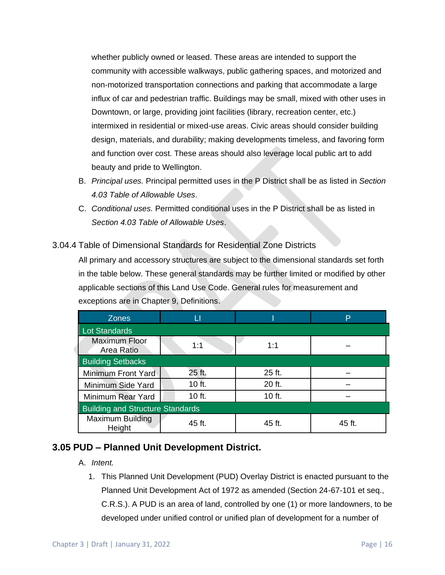whether publicly owned or leased. These areas are intended to support the community with accessible walkways, public gathering spaces, and motorized and non-motorized transportation connections and parking that accommodate a large influx of car and pedestrian traffic. Buildings may be small, mixed with other uses in Downtown, or large, providing joint facilities (library, recreation center, etc.) intermixed in residential or mixed-use areas. Civic areas should consider building design, materials, and durability; making developments timeless, and favoring form and function over cost. These areas should also leverage local public art to add beauty and pride to Wellington.

- B. *Principal uses.* Principal permitted uses in the P District shall be as listed in *Section 4.03 Table of Allowable Uses*.
- C. *Conditional uses.* Permitted conditional uses in the P District shall be as listed in *Section 4.03 Table of Allowable Uses*.

### 3.04.4 Table of Dimensional Standards for Residential Zone Districts

All primary and accessory structures are subject to the dimensional standards set forth in the table below. These general standards may be further limited or modified by other applicable sections of this Land Use Code. General rules for measurement and exceptions are in Chapter 9, Definitions.

| <b>Zones</b>                            | ш        |        | P      |  |  |  |
|-----------------------------------------|----------|--------|--------|--|--|--|
| <b>Lot Standards</b>                    |          |        |        |  |  |  |
| <b>Maximum Floor</b><br>Area Ratio      | 1:1      | 1:1    |        |  |  |  |
| <b>Building Setbacks</b>                |          |        |        |  |  |  |
| Minimum Front Yard                      | 25 ft.   | 25 ft. |        |  |  |  |
| Minimum Side Yard                       | $10$ ft. | 20 ft. |        |  |  |  |
| Minimum Rear Yard                       | 10 ft.   | 10 ft. |        |  |  |  |
| <b>Building and Structure Standards</b> |          |        |        |  |  |  |
| Maximum Building<br>Height              | 45 ft.   | 45 ft. | 45 ft. |  |  |  |

### **3.05 PUD – Planned Unit Development District.**

#### A. *Intent.*

1. This Planned Unit Development (PUD) Overlay District is enacted pursuant to the Planned Unit Development Act of 1972 as amended (Section 24-67-101 et seq., C.R.S.). A PUD is an area of land, controlled by one (1) or more landowners, to be developed under unified control or unified plan of development for a number of